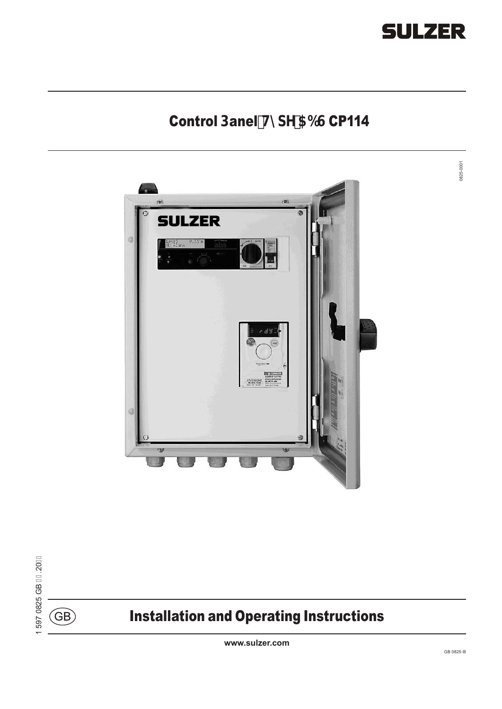

0825-0001

0825-0001

# Control Danel HndY 56G CP114



 $\binom{6}{B}$ 

# Installation and Operating Instructions

**www.sulzer.com**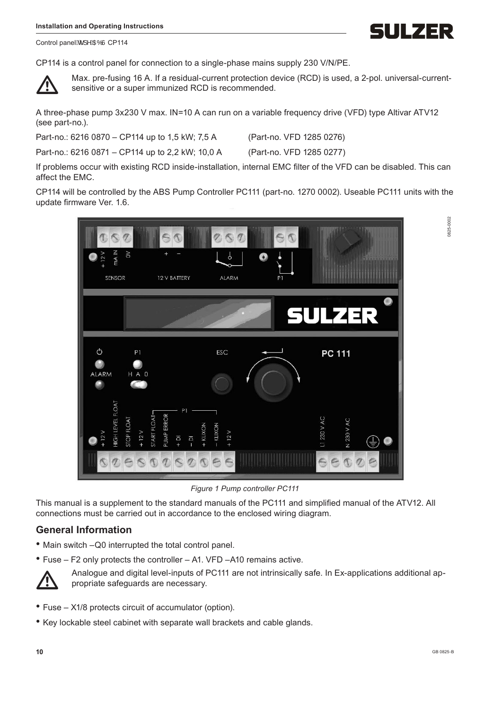IULZER

0825-0002

000-328

Control panel 6 | ^ ADD CP114

CP114 is a control panel for connection to a single-phase mains supply 230 V/N/PE.



Max. pre-fusing 16 A. If a residual-current protection device (RCD) is used, a 2-pol. universal-currentsensitive or a super immunized RCD is recommended.

A three-phase pump 3x230 V max. IN=10 A can run on a variable frequency drive (VFD) type Altivar ATV12 (see part-no.).

Part-no.: 6216 0870 – CP114 up to 1,5 kW; 7,5 A (Part-no. VFD 1285 0276)

Part-no.: 6216 0871 – CP114 up to 2,2 kW; 10,0 A (Part-no. VFD 1285 0277)

If problems occur with existing RCD inside-installation, internal EMC filter of the VFD can be disabled. This can affect the EMC.

CP114 will be controlled by the ABS Pump Controller PC111 (part-no. 1270 0002). Useable PC111 units with the update firmware Ver. 1.6.



*Figure 1 Pump controller PC111*

This manual is a supplement to the standard manuals of the PC111 and simplified manual of the ATV12. All connections must be carried out in accordance to the enclosed wiring diagram.

#### **General Information**

• Main switch –Q0 interrupted the total control panel.





Analogue and digital level-inputs of PC111 are not intrinsically safe. In Ex-applications additional appropriate safeguards are necessary.

- Fuse X1/8 protects circuit of accumulator (option).
- Key lockable steel cabinet with separate wall brackets and cable glands.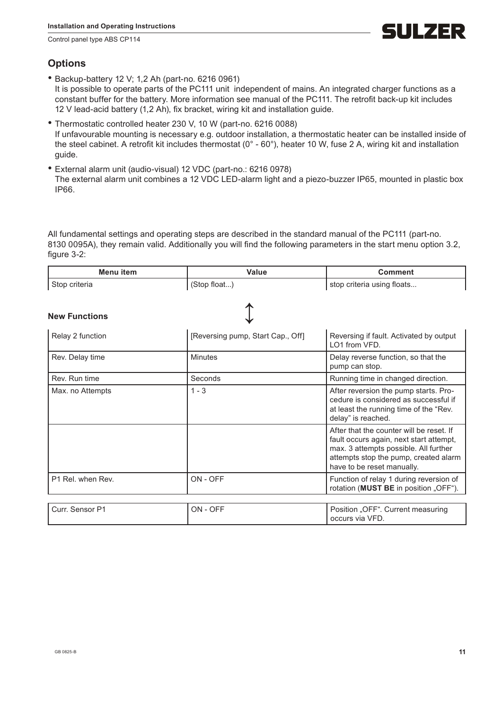Control panel type ABS CP114

## **Options**

- Backup-battery 12 V; 1,2 Ah (part-no. 6216 0961) It is possible to operate parts of the PC111 unit independent of mains. An integrated charger functions as a constant buffer for the battery. More information see manual of the PC111. The retrofit back-up kit includes 12 V lead-acid battery (1,2 Ah), fix bracket, wiring kit and installation guide.
- Thermostatic controlled heater 230 V, 10 W (part-no. 6216 0088) If unfavourable mounting is necessary e.g. outdoor installation, a thermostatic heater can be installed inside of the steel cabinet. A retrofit kit includes thermostat (0° - 60°), heater 10 W, fuse 2 A, wiring kit and installation guide.
- External alarm unit (audio-visual) 12 VDC (part-no.: 6216 0978) The external alarm unit combines a 12 VDC LED-alarm light and a piezo-buzzer IP65, mounted in plastic box IP66.

All fundamental settings and operating steps are described in the standard manual of the PC111 (part-no. 8130 0095A), they remain valid. Additionally you will find the following parameters in the start menu option 3.2, figure 3-2:

| <b>Menu</b> item     | Value                             | <b>Comment</b>                                                                                                                                                                                      |  |
|----------------------|-----------------------------------|-----------------------------------------------------------------------------------------------------------------------------------------------------------------------------------------------------|--|
| Stop criteria        | (Stop float)                      | stop criteria using floats                                                                                                                                                                          |  |
| <b>New Functions</b> |                                   |                                                                                                                                                                                                     |  |
| Relay 2 function     | [Reversing pump, Start Cap., Off] | Reversing if fault. Activated by output<br>LO1 from VFD.                                                                                                                                            |  |
| Rev. Delay time      | Minutes                           | Delay reverse function, so that the<br>pump can stop.                                                                                                                                               |  |
| Rev. Run time        | Seconds                           | Running time in changed direction.                                                                                                                                                                  |  |
| Max. no Attempts     | $1 - 3$                           | After reversion the pump starts. Pro-<br>cedure is considered as successful if<br>at least the running time of the "Rev.<br>delay" is reached.                                                      |  |
|                      |                                   | After that the counter will be reset. If<br>fault occurs again, next start attempt,<br>max. 3 attempts possible. All further<br>attempts stop the pump, created alarm<br>have to be reset manually. |  |
| P1 Rel. when Rev.    | ON - OFF                          | Function of relay 1 during reversion of<br>rotation (MUST BE in position "OFF").                                                                                                                    |  |
| Curr. Sensor P1      | ON - OFF                          | Position "OFF". Current measuring<br>occurs via VFD.                                                                                                                                                |  |

ULZER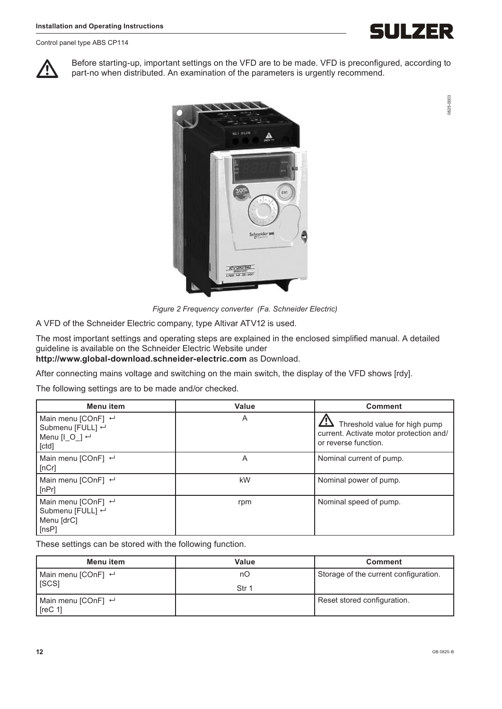Control panel type ABS CP114

IULZER

0825-0003

0825-0003

Before starting-up, important settings on the VFD are to be made. VFD is preconfigured, according to part-no when distributed. An examination of the parameters is urgently recommend.



*Figure 2 Frequency converter (Fa. Schneider Electric)*

A VFD of the Schneider Electric company, type Altivar ATV12 is used.

The most important settings and operating steps are explained in the enclosed simplified manual. A detailed guideline is available on the Schneider Electric Website under **http://www.global-download.schneider-electric.com** as Download.

After connecting mains voltage and switching on the main switch, the display of the VFD shows [rdy].

The following settings are to be made and/or checked.

| <b>Menu</b> item                                                                            | Value | <b>Comment</b>                                                                                   |
|---------------------------------------------------------------------------------------------|-------|--------------------------------------------------------------------------------------------------|
| Main menu [COnF] $\leftarrow$<br>Submenu [FULL] ←<br>Menu [ $\circ$ ] $\leftarrow$<br>[ctd] | A     | Threshold value for high pump<br>current. Activate motor protection and/<br>or reverse function. |
| Main menu [COnF] $\leftarrow$<br>[nCr]                                                      | A     | Nominal current of pump.                                                                         |
| Main menu [COnF] $\leftarrow$<br>[nPr]                                                      | kW    | Nominal power of pump.                                                                           |
| Main menu [COnF] $\leftarrow$<br>Submenu [FULL] ←<br>Menu [drC]<br>[nsP]                    | rpm   | Nominal speed of pump.                                                                           |

These settings can be stored with the following function.

| Menu item                                | Value | <b>Comment</b>                        |
|------------------------------------------|-------|---------------------------------------|
| Main menu [COnF] $\leftarrow$            | nО    | Storage of the current configuration. |
| <b>ISCSI</b>                             | Str 1 |                                       |
| Main menu [COnF] $\leftarrow$<br>[rec 1] |       | Reset stored configuration.           |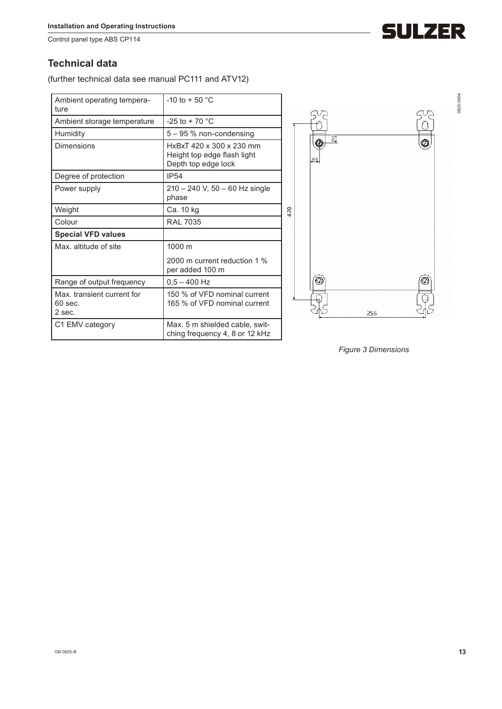Control panel type ABS CP114

### **Technical data**

(further technical data see manual PC111 and ATV12)

| Ambient operating tempera-<br>ture                | $-10$ to $+50$ °C                                                              |                |
|---------------------------------------------------|--------------------------------------------------------------------------------|----------------|
| Ambient storage temperature                       | $-25$ to + 70 °C                                                               |                |
| Humidity                                          | $5 - 95$ % non-condensing                                                      | 깗              |
| Dimensions                                        | HxBxT 420 x 300 x 230 mm<br>Height top edge flash light<br>Depth top edge lock | ⊕<br>$^{22.5}$ |
| Degree of protection                              | <b>IP54</b>                                                                    |                |
| Power supply                                      | $210 - 240$ V, 50 $- 60$ Hz single<br>phase                                    |                |
| Weight                                            | Ca. 10 kg                                                                      | 470            |
| Colour                                            | <b>RAL 7035</b>                                                                |                |
| <b>Special VFD values</b>                         |                                                                                |                |
| Max. altitude of site                             | 1000 m                                                                         |                |
|                                                   | 2000 m current reduction 1 %<br>per added 100 m                                |                |
| Range of output frequency                         | $0.5 - 400$ Hz                                                                 | ۷              |
| Max, transient current for<br>$60$ sec.<br>2 sec. | 150 % of VFD nominal current<br>165 % of VFD nominal current                   |                |
| C1 EMV category                                   | Max. 5 m shielded cable, swit-<br>ching frequency 4, 8 or 12 kHz               |                |



*Figure 3 Dimensions*



0825-0004

0825-0004